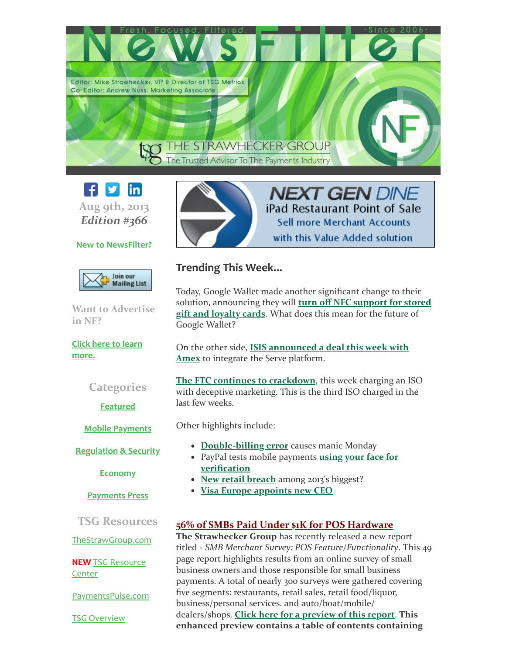



# New to NewsFilter?



Want to Advertise in NF?

Click here to learn [more.](http://www.thestrawgroup.com/newsfilter/newsfilter-advertising-opportunities?utm_source=NewsFilter+366+8%2F09%2F13&utm_campaign=NF+%23366+8%2F09%2F13&utm_medium=archive)

# **Categories**

**[Featured](#page-1-0)** 

Mobile [Payments](#page-2-0)

**[Regulation](#page-4-0) & Security** 

[Economy](#page-4-1)

[Payments](#page-5-0) Press

TSG Resources

[TheStrawGroup.com](http://www.thestrawgroup.com/?utm_source=NewsFilter+366+8%2F09%2F13&utm_campaign=NF+%23366+8%2F09%2F13&utm_medium=archive)

NEW TSG [Resource](http://www.thestrawgroup.com/resource-center?utm_source=NewsFilter+366+8%2F09%2F13&utm_campaign=NF+%23366+8%2F09%2F13&utm_medium=archive) **Center** 

[PaymentsPulse.com](http://paymentspulse.com/?utm_source=NewsFilter+366+8%2F09%2F13&utm_campaign=NF+%23366+8%2F09%2F13&utm_medium=archive)

TSG [Overview](http://library.constantcontact.com/doc201/1111273965379/doc/cbFgWoIzdhDkDwod.pdf)



# **NEXT GEN DINE** iPad Restaurant Point of Sale **Sell more Merchant Accounts** with this Value Added solution

# Trending This Week...

Today, Google Wallet made another significant change to their solution, [announcing](#page-1-1) they will turn off NFC support for stored gift and loyalty cards. What does this mean for the future of Google Wallet?

On the other side, **ISIS [announced](#page-2-1) a deal this week with** Amex to integrate the Serve platform.

The FTC continues to [crackdown](#page-1-2), this week charging an ISO with deceptive marketing. This is the third ISO charged in the last few weeks.

Other highlights include:

- [Double-billing](#page-1-3) error causes manic Monday
- PayPal tests mobile payments using your face for [verification](#page-3-0)
- New retail [breach](#page-4-2) among 2013's biggest?
- Visa Europe [appoints](#page-5-1) new CEO

# 56% of SMBs Paid Under \$1K for POS Hardware

The Strawhecker Group has recently released a new report titled - *SMB Merchant Survey: POS Feature/Functionality*. This 49 page report highlights results from an online survey of small business owners and those responsible for small business payments. A total of nearly 300 surveys were gathered covering five segments: restaurants, retail sales, retail food/liquor, business/personal services. and auto/boat/mobile/ dealers/shops. Click here for a [preview](http://library.constantcontact.com/doc201/1111273965379/doc/lXAAnoVY4KUO9ay1.pdf) of this report. This enhanced preview contains a table of contents containing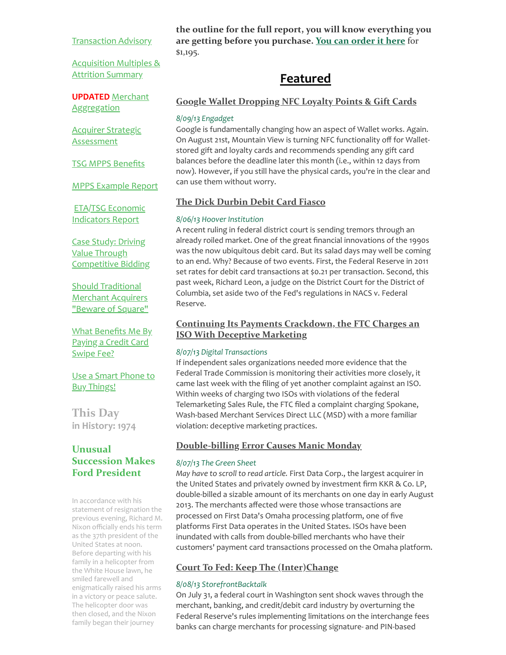#### [Transaction](http://library.constantcontact.com/doc201/1111273965379/doc/39oT4lea5y1ZsXg2.pdf) Advisory

[Acquisition](http://library.constantcontact.com/doc201/1111273965379/doc/nYvgkVVich2Xk1UR.pdf) Multiples & **Attrition Summary** 

UPDATED Merchant **[Aggregation](http://library.constantcontact.com/doc201/1111273965379/doc/DMX9exECmEI4B3Dw.pdf)** 

Acquirer Strategic **[Assessment](http://paymentspulse.com/wp-content/uploads/2012/10/TSG-Acquirer-Strategic-Assessment.pdf?utm_source=NewsFilter+366+8%2F09%2F13&utm_campaign=NF+%23366+8%2F09%2F13&utm_medium=archive)** 

TSG MPPS [Benefits](http://library.constantcontact.com/doc201/1111273965379/doc/te36KxDnsvTxflIR.pdf)

MPPS [Example](http://paymentspulse.com/wp-content/uploads/2013/03/MPPS-Portfolio-Example-Report-March-2013.pdf?utm_source=NewsFilter+366+8%2F09%2F13&utm_campaign=NF+%23366+8%2F09%2F13&utm_medium=archive) Report

ETA/TSG Economic [Indicators](http://library.constantcontact.com/doc201/1111273965379/doc/KDI0Z69kdvINL99v.pdf) Report

Case Study: Driving Value Through [Competitive](http://paymentspulse.com/wp-content/uploads/2012/11/TSG-Case-Study-Driving-Value-Through-Competitive-Bidding.pdf?utm_source=NewsFilter+366+8%2F09%2F13&utm_campaign=NF+%23366+8%2F09%2F13&utm_medium=archive) Bidding

Should [Traditional](http://paymentspulse.com/wp-content/uploads/2012/11/TSG-Square-Infographic.pdf?utm_source=NewsFilter+366+8%2F09%2F13&utm_campaign=NF+%23366+8%2F09%2F13&utm_medium=archive) Merchant Acquirers "Beware of Square"

What [Benefits](http://library.constantcontact.com/doc201/1111273965379/doc/uMeec6N61qZeP8au.pdf) Me By Paying a Credit Card Swipe Fee?

Use a Smart Phone to Buy [Things!](http://library.constantcontact.com/doc201/1111273965379/doc/skj91IBKrHdZZurB.pdf)

This Day in History: 1974

# Unusual Succession Makes Ford President

In accordance with his statement of resignation the previous evening, Richard M. Nixon officially ends his term as the 37th president of the United States at noon. Before departing with his family in a helicopter from the White House lawn, he smiled farewell and enigmatically raised his arms in a victory or peace salute. The helicopter door was then closed, and the Nixon family began their journey

the outline for the full report, you will know everything you are getting before you purchase. You can [order](http://library.constantcontact.com/doc201/1111273965379/doc/SrPNfNpAAF4LOL9T.pdf) it here for \$1,195.

# <span id="page-1-1"></span><span id="page-1-0"></span>Featured

# Google Wallet [Dropping](http://www.engadget.com/2013/08/09/google-drops-loyalty-gift-card-nfc-use/?utm_source=NewsFilter+366+8%2F09%2F13&utm_campaign=NF+%23366+8%2F09%2F13&utm_medium=archive) NFC Loyalty Points & Gift Cards

#### 8/09/13 Engadget

Google is fundamentally changing how an aspect of Wallet works. Again. On August 21st, Mountain View is turning NFC functionality off for Walletstored gift and loyalty cards and recommends spending any gift card balances before the deadline later this month (i.e., within 12 days from now). However, if you still have the physical cards, you're in the clear and can use them without worry.

# The Dick [Durbin](http://www.hoover.org/publications/defining-ideas/article/153401?utm_source=NewsFilter+366+8%2F09%2F13&utm_campaign=NF+%23366+8%2F09%2F13&utm_medium=archive) Debit Card Fiasco

#### 8/06/13 Hoover Institution

A recent ruling in federal district court is sending tremors through an already roiled market. One of the great financial innovations of the 1990s was the now ubiquitous debit card. But its salad days may well be coming to an end. Why? Because of two events. First, the Federal Reserve in 2011 set rates for debit card transactions at \$0.21 per transaction. Second, this past week, Richard Leon, a judge on the District Court for the District of Columbia, set aside two of the Fed's regulations in NACS v. Federal Reserve.

# <span id="page-1-2"></span>Continuing Its Payments [Crackdown,](http://digitaltransactions.net/news/story/4220?utm_source=NewsFilter+366+8%2F09%2F13&utm_campaign=NF+%23366+8%2F09%2F13&utm_medium=archive) the FTC Charges an ISO With Deceptive Marketing

#### 8/07/13 Digital Transactions

If independent sales organizations needed more evidence that the Federal Trade Commission is monitoring their activities more closely, it came last week with the filing of yet another complaint against an ISO. Within weeks of charging two ISOs with violations of the federal Telemarketing Sales Rule, the FTC filed a complaint charging Spokane, Wash-based Merchant Services Direct LLC (MSD) with a more familiar violation: deceptive marketing practices.

# <span id="page-1-3"></span>[Double-billing](http://www.greensheet.com/breakingnews.php?nw_flag_type=next&utm_source=NewsFilter+366+8%2F09%2F13&utm_campaign=NF+%23366+8%2F09%2F13&utm_medium=archive) Error Causes Manic Monday

#### 8/07/13 The Green Sheet

May have to scroll to read article. First Data Corp., the largest acquirer in the United States and privately owned by investment firm KKR & Co. LP, double-billed a sizable amount of its merchants on one day in early August 2013. The merchants affected were those whose transactions are processed on First Data's Omaha processing platform, one of five platforms First Data operates in the United States. ISOs have been inundated with calls from double-billed merchants who have their customers' payment card transactions processed on the Omaha platform.

# Court To Fed: Keep The [\(Inter\)Change](http://storefrontbacktalk.com/securityfraud/court-to-fed-keep-the-interchange/?utm_source=NewsFilter+366+8%2F09%2F13&utm_campaign=NF+%23366+8%2F09%2F13&utm_medium=archive)

#### 8/08/13 StorefrontBacktalk

On July 31, a federal court in Washington sent shock waves through the merchant, banking, and credit/debit card industry by overturning the Federal Reserve's rules implementing limitations on the interchange fees banks can charge merchants for processing signature- and PIN-based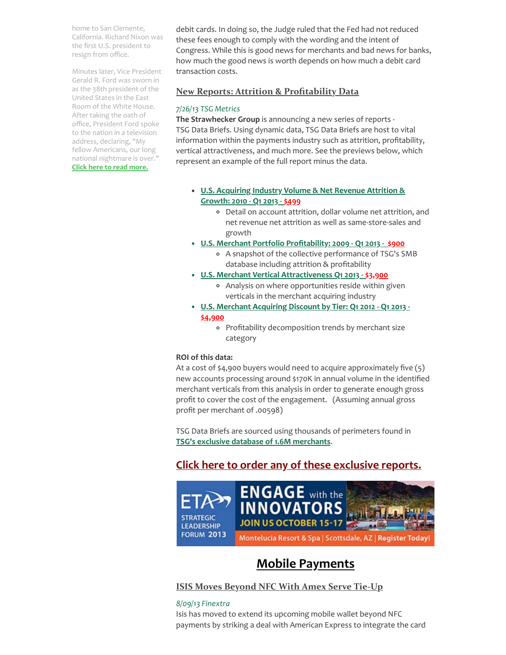home to San Clemente, California. Richard Nixon was the first U.S. president to resign from office.

Minutes later, Vice President Gerald R. Ford was sworn in as the 38th president of the United States in the East Room of the White House. After taking the oath of office, President Ford spoke to the nation in a television address, declaring, "My fellow Americans, our long national nightmare is over." [Click here to read more.](http://www.history.com/this-day-in-history/unusual-succession-makes-ford-president?utm_source=NewsFilter+366+8%2F09%2F13&utm_campaign=NF+%23366+8%2F09%2F13&utm_medium=archive)

debit cards. In doing so, the Judge ruled that the Fed had not reduced these fees enough to comply with the wording and the intent of Congress. While this is good news for merchants and bad news for banks, how much the good news is worth depends on how much a debit card transaction costs.

## New Reports: Attrition & [Profitability](http://library.constantcontact.com/doc201/1111273965379/doc/87PWKr5pyNtUlHnm.pdf) Data

#### 7/26/13 TSG Metrics

The Strawhecker Group is announcing a new series of reports - TSG Data Briefs. Using dynamic data, TSG Data Briefs are host to vital information within the payments industry such as attrition, profitability, vertical attractiveness, and much more. See the previews below, which represent an example of the full report minus the data.

- U.S. [Acquiring](http://library.constantcontact.com/doc201/1111273965379/doc/vSQUsYw8nnQmNwpl.pdf) Industry Volume & Net Revenue Attrition & Growth: 2010 - Q1 2013 - \$499
	- Detail on account attrition, dollar volume net attrition, and net revenue net attrition as well as same-store-sales and growth
- U.S. Merchant Portfolio [Profitability:](http://library.constantcontact.com/doc201/1111273965379/doc/yFeIgf2t9bKeyFt9.pdf) 2009 Q1 2013 [\\$900](http://library.constantcontact.com/doc201/1111273965379/doc/yFeIgf2t9bKeyFt9.pdf)
	- A snapshot of the collective performance of TSG's SMB database including attrition & profitability
- U.S. Merchant Vertical [Attractiveness](http://paymentspulse.com/wp-content/uploads/2013/07/TSG-Merchant-Acquiring-Vertical-Attractiveness-PREVIEW-3.xlsx?utm_source=NewsFilter+366+8%2F09%2F13&utm_campaign=NF+%23366+8%2F09%2F13&utm_medium=archive) Q1 2013 \$3,900
	- Analysis on where opportunities reside within given verticals in the merchant acquiring industry
- U.S. [Merchant](http://paymentspulse.com/wp-content/uploads/2013/07/TSG-Merchant-Discount-by-Tier-PREVIEW-41.xlsx?utm_source=NewsFilter+366+8%2F09%2F13&utm_campaign=NF+%23366+8%2F09%2F13&utm_medium=archive) Acquiring Discount by Tier: Q1 2012 Q1 2013 -<u>\$4,900</u>
	- Profitability decomposition trends by merchant size category

#### ROI of this data:

At a cost of \$4,900 buyers would need to acquire approximately five (5) new accounts processing around \$170K in annual volume in the identified merchant verticals from this analysis in order to generate enough gross profit to cover the cost of the engagement. (Assuming annual gross profit per merchant of .00598)

TSG Data Briefs are sourced using thousands of perimeters found in TSG's exclusive database of 1.6M [merchants](http://library.constantcontact.com/doc201/1111273965379/doc/87PWKr5pyNtUlHnm.pdf).

# Click here to order any of these [exclusive](http://library.constantcontact.com/doc201/1111273965379/doc/SrPNfNpAAF4LOL9T.pdf) reports.



# <span id="page-2-1"></span><span id="page-2-0"></span>Mobile Payments

ISIS Moves [Beyond](http://www.finextra.com/News/FullStory.aspx?newsitemid=25104&utm_source=NewsFilter+366+8%2F09%2F13&utm_campaign=NF+%23366+8%2F09%2F13&utm_medium=archive) NFC With Amex Serve Tie-Up

#### 8/09/13 Finextra

Isis has moved to extend its upcoming mobile wallet beyond NFC payments by striking a deal with American Express to integrate the card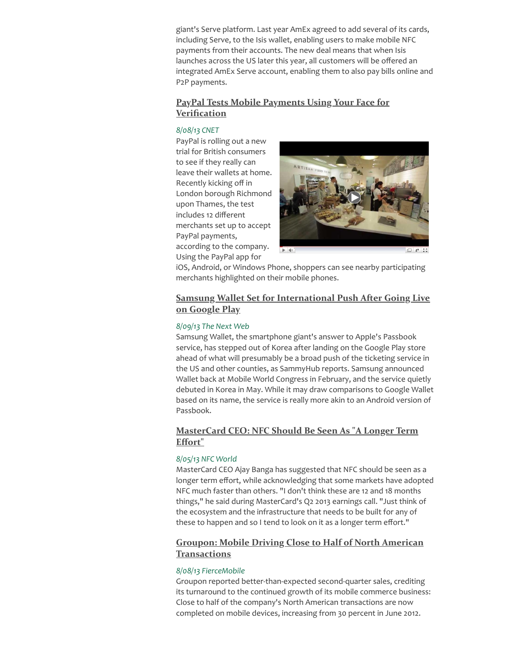giant's Serve platform. Last year AmEx agreed to add several of its cards, including Serve, to the Isis wallet, enabling users to make mobile NFC payments from their accounts. The new deal means that when Isis launches across the US later this year, all customers will be offered an integrated AmEx Serve account, enabling them to also pay bills online and P2P payments.

# <span id="page-3-0"></span>PayPal Tests Mobile Payments Using Your Face for **[Verification](http://news.cnet.com/8301-1023_3-57597555-93/paypal-tests-mobile-payments-using-your-face-for-verification/?utm_source=NewsFilter+366+8%2F09%2F13&utm_campaign=NF+%23366+8%2F09%2F13&utm_medium=archive)**

## 8/08/13 CNET

PayPal is rolling out a new trial for British consumers to see if they really can leave their wallets at home. Recently kicking off in London borough Richmond upon Thames, the test includes 12 different merchants set up to accept PayPal payments, according to the company. Using the PayPal app for



iOS, Android, or Windows Phone, shoppers can see nearby participating merchants highlighted on their mobile phones.

# Samsung Wallet Set for [International](http://thenextweb.com/apps/2013/08/09/samsung-wallet-set-international-push-after-landing-on-google-play/?utm_source=NewsFilter+366+8%2F09%2F13&utm_campaign=NF+%23366+8%2F09%2F13&utm_medium=archive) Push After Going Live on Google Play

## 8/09/13 The Next Web

Samsung Wallet, the smartphone giant's answer to Apple's Passbook service, has stepped out of Korea after landing on the Google Play store ahead of what will presumably be a broad push of the ticketing service in the US and other counties, as SammyHub reports. Samsung announced Wallet back at Mobile World Congress in February, and the service quietly debuted in Korea in May. While it may draw comparisons to Google Wallet based on its name, the service is really more akin to an Android version of Passbook.

# [MasterCard](http://www.nfcworld.com/2013/08/05/325325/mastercard-ceo-nfc-should-be-seen-as-a-longer-term-effort/?utm_source=NewsFilter+366+8%2F09%2F13&utm_campaign=NF+%23366+8%2F09%2F13&utm_medium=archive) CEO: NFC Should Be Seen As "A Longer Term Effort"

# 8/05/13 NFC World

MasterCard CEO Ajay Banga has suggested that NFC should be seen as a longer term effort, while acknowledging that some markets have adopted NFC much faster than others. "I don't think these are 12 and 18 months things," he said during MasterCard's Q2 2013 earnings call. "Just think of the ecosystem and the infrastructure that needs to be built for any of these to happen and so I tend to look on it as a longer term effort."

# Groupon: Mobile Driving Close to [Half of North](http://www.fiercemobilecontent.com/story/groupon-mobile-driving-close-half-north-american-transactions/2013-08-08?utm_source=NewsFilter+366+8%2F09%2F13&utm_campaign=NF+%23366+8%2F09%2F13&utm_medium=archive) American **Transactions**

#### 8/08/13 FierceMobile

Groupon reported better-than-expected second-quarter sales, crediting its turnaround to the continued growth of its mobile commerce business: Close to half of the company's North American transactions are now completed on mobile devices, increasing from 30 percent in June 2012.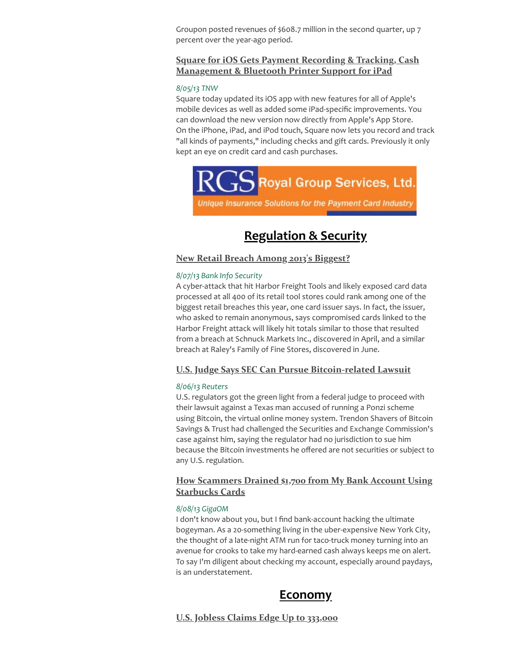Groupon posted revenues of \$608.7 million in the second quarter, up 7 percent over the year-ago period.

# Square for iOS Gets Payment Recording & Tracking, Cash [Management](http://thenextweb.com/apps/2013/08/05/square-for-ios-gets-payment-recording-and-tracking-cash-management-and-bluetooth-printer-support-for-ipad/?utm_source=NewsFilter+366+8%2F09%2F13&utm_campaign=NF+%23366+8%2F09%2F13&utm_medium=archive) & Bluetooth Printer Support for iPad

#### 8/05/13 TNW

Square today updated its iOS app with new features for all of Apple's mobile devices as well as added some iPad-specific improvements. You can download the new version now directly from Apple's App Store. On the iPhone, iPad, and iPod touch, Square now lets you record and track "all kinds of payments," including checks and gift cards. Previously it only kept an eye on credit card and cash purchases.



Unique Insurance Solutions for the Payment Card Industry

# <span id="page-4-2"></span><span id="page-4-0"></span>Regulation & Security

# New Retail Breach Among 2013's [Biggest?](http://www.bankinfosecurity.com/new-retail-breach-among-2013s-biggest-a-5970?utm_source=NewsFilter+366+8%2F09%2F13&utm_campaign=NF+%23366+8%2F09%2F13&utm_medium=archive)

#### 8/07/13 Bank Info Security

A cyber-attack that hit Harbor Freight Tools and likely exposed card data processed at all 400 of its retail tool stores could rank among one of the biggest retail breaches this year, one card issuer says. In fact, the issuer, who asked to remain anonymous, says compromised cards linked to the Harbor Freight attack will likely hit totals similar to those that resulted from a breach at Schnuck Markets Inc., discovered in April, and a similar breach at Raley's Family of Fine Stores, discovered in June.

# U.S. Judge Says SEC Can Pursue [Bitcoin-related](http://www.reuters.com/article/2013/08/06/us-court-sec-bitcoin-idUSBRE97517G20130806?utm_source=NewsFilter+366+8%2F09%2F13&utm_campaign=NF+%23366+8%2F09%2F13&utm_medium=archive) Lawsuit

#### 8/06/13 Reuters

U.S. regulators got the green light from a federal judge to proceed with their lawsuit against a Texas man accused of running a Ponzi scheme using Bitcoin, the virtual online money system. Trendon Shavers of Bitcoin Savings & Trust had challenged the Securities and Exchange Commission's case against him, saying the regulator had no jurisdiction to sue him because the Bitcoin investments he offered are not securities or subject to any U.S. regulation.

# How [Scammers](http://gigaom.com/2013/08/07/how-scammers-drained-1700-from-my-bank-account-using-starbucks-cards/?utm_source=NewsFilter+366+8%2F09%2F13&utm_campaign=NF+%23366+8%2F09%2F13&utm_medium=archive) Drained \$1,700 from My Bank Account Using Starbucks Cards

#### 8/08/13 GigaOM

I don't know about you, but I find bank-account hacking the ultimate bogeyman. As a 20-something living in the uber-expensive New York City, the thought of a late-night ATM run for taco-truck money turning into an avenue for crooks to take my hard-earned cash always keeps me on alert. To say I'm diligent about checking my account, especially around paydays, is an understatement.

# <span id="page-4-1"></span>Economy

U.S. Jobless Claims Edge Up to [333,000](http://www.marketwatch.com/story/us-jobless-claims-edge-up-to-333000-2013-08-08?dist=beforebell&utm_source=NewsFilter+366+8%2F09%2F13&utm_campaign=NF+%23366+8%2F09%2F13&utm_medium=archive)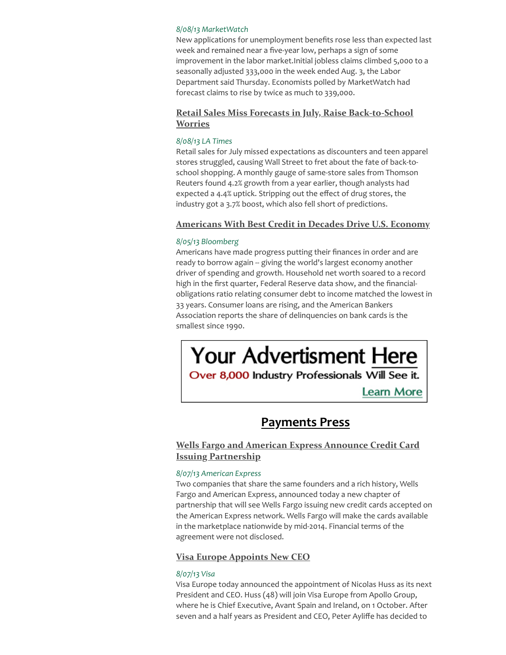#### 8/08/13 MarketWatch

New applications for unemployment benefits rose less than expected last week and remained near a five-year low, perhaps a sign of some improvement in the labor market.Initial jobless claims climbed 5,000 to a seasonally adjusted 333,000 in the week ended Aug. 3, the Labor Department said Thursday. Economists polled by MarketWatch had forecast claims to rise by twice as much to 339,000.

# Retail Sales Miss Forecasts in July, Raise [Back-to-School](http://www.latimes.com/business/money/la-fi-mo-retail-sales-july-school-20130808,0,2499585.story?utm_source=NewsFilter+366+8%2F09%2F13&utm_campaign=NF+%23366+8%2F09%2F13&utm_medium=archive) Worries

## 8/08/13 LA Times

Retail sales for July missed expectations as discounters and teen apparel stores struggled, causing Wall Street to fret about the fate of back-toschool shopping. A monthly gauge of same-store sales from Thomson Reuters found 4.2% growth from a year earlier, though analysts had expected a 4.4% uptick. Stripping out the effect of drug stores, the industry got a 3.7% boost, which also fell short of predictions.

## [Americans](http://www.bloomberg.com/news/2013-08-05/americans-with-best-credit-in-decades-drive-u-s-economy.html?utm_source=NewsFilter+366+8%2F09%2F13&utm_campaign=NF+%23366+8%2F09%2F13&utm_medium=archive) With Best Credit in Decades Drive U.S. Economy

#### 8/05/13 Bloomberg

Americans have made progress putting their finances in order and are ready to borrow again -- giving the world's largest economy another driver of spending and growth. Household net worth soared to a record high in the first quarter, Federal Reserve data show, and the financialobligations ratio relating consumer debt to income matched the lowest in 33 years. Consumer loans are rising, and the American Bankers Association reports the share of delinquencies on bank cards is the smallest since 1990.

# **Your Advertisment Here**

Over 8,000 Industry Professionals Will See it.

**Learn More** 

# <span id="page-5-0"></span>Payments Press

# Wells Fargo and American Express Announce Credit Card Issuing [Partnership](http://about.americanexpress.com/news/pr/2013/wells-fargo-amex-partnership.aspx?utm_source=NewsFilter+366+8%2F09%2F13&utm_campaign=NF+%23366+8%2F09%2F13&utm_medium=archive)

#### 8/07/13 American Express

Two companies that share the same founders and a rich history, Wells Fargo and American Express, announced today a new chapter of partnership that will see Wells Fargo issuing new credit cards accepted on the American Express network. Wells Fargo will make the cards available in the marketplace nationwide by mid-2014. Financial terms of the agreement were not disclosed.

# <span id="page-5-1"></span>Visa Europe [Appoints](http://www.visaeurope.com/en/newsroom/news/articles/2013/new_ceo_appointed.aspx?utm_source=NewsFilter+366+8%2F09%2F13&utm_campaign=NF+%23366+8%2F09%2F13&utm_medium=archive) New CEO

# 8/07/13 Visa

Visa Europe today announced the appointment of Nicolas Huss as its next President and CEO. Huss (48) will join Visa Europe from Apollo Group, where he is Chief Executive, Avant Spain and Ireland, on 1 October. After seven and a half years as President and CEO, Peter Ayliffe has decided to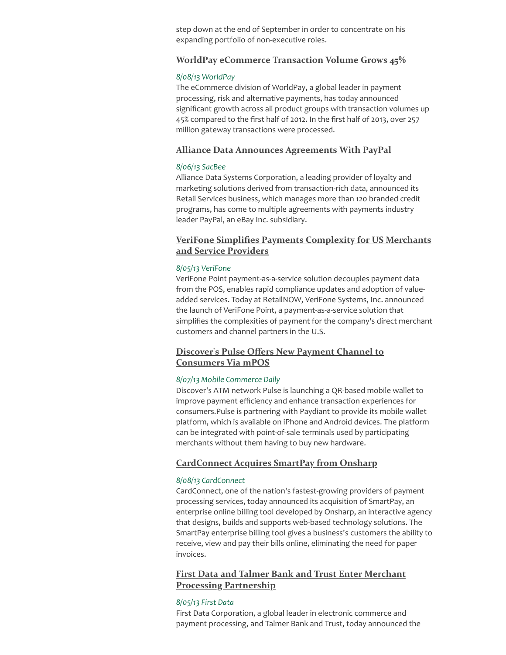step down at the end of September in order to concentrate on his expanding portfolio of non-executive roles.

#### WorldPay [eCommerce](http://www.worldpay.com/media/index.php?page=archive&sub=worldpay-ecom-double-digit-growth&c=&utm_source=NewsFilter+366+8%2F09%2F13&utm_campaign=NF+%23366+8%2F09%2F13&utm_medium=archive) Transaction Volume Grows 45%

#### 8/08/13 WorldPay

The eCommerce division of WorldPay, a global leader in payment processing, risk and alternative payments, has today announced significant growth across all product groups with transaction volumes up 45% compared to the first half of 2012. In the first half of 2013, over 257 million gateway transactions were processed.

#### Alliance Data Announces [Agreements](http://www.sacbee.com/2013/08/06/5626446/alliance-data-announces-agreements.html?utm_source=NewsFilter+366+8%2F09%2F13&utm_campaign=NF+%23366+8%2F09%2F13&utm_medium=archive) With PayPal

#### 8/06/13 SacBee

Alliance Data Systems Corporation, a leading provider of loyalty and marketing solutions derived from transaction-rich data, announced its Retail Services business, which manages more than 120 branded credit programs, has come to multiple agreements with payments industry leader PayPal, an eBay Inc. subsidiary.

# VeriFone Simplifies Payments [Complexity](http://global.verifone.com/company/press-room/press-releases/2013/verifone-simplifies-payments-complexity/?utm_source=NewsFilter+366+8%2F09%2F13&utm_campaign=NF+%23366+8%2F09%2F13&utm_medium=archive) for US Merchants and Service Providers

#### 8/05/13 VeriFone

VeriFone Point payment-as-a-service solution decouples payment data from the POS, enables rapid compliance updates and adoption of valueadded services. Today at RetailNOW, VeriFone Systems, Inc. announced the launch of VeriFone Point, a payment-as-a-service solution that simplifies the complexities of payment for the company's direct merchant customers and channel partners in the U.S.

# Discover's Pulse Offers New Payment Channel to [Consumers](http://www.mobilecommercedaily.com/pulse-offers-new-payment-channel-to-consumers-via-mpos?utm_source=NewsFilter+366+8%2F09%2F13&utm_campaign=NF+%23366+8%2F09%2F13&utm_medium=archive) Via mPOS

#### 8/07/13 Mobile Commerce Daily

Discover's ATM network Pulse is launching a QR-based mobile wallet to improve payment efficiency and enhance transaction experiences for consumers.Pulse is partnering with Paydiant to provide its mobile wallet platform, which is available on iPhone and Android devices. The platform can be integrated with point-of-sale terminals used by participating merchants without them having to buy new hardware.

## CardConnect Acquires SmartPay [from Onsharp](http://www.cardconnect.com/media/cardconnect-acquires-smartpay-from-onsharp?utm_source=NewsFilter+366+8%2F09%2F13&utm_campaign=NF+%23366+8%2F09%2F13&utm_medium=archive)

#### 8/08/13 CardConnect

CardConnect, one of the nation's fastest-growing providers of payment processing services, today announced its acquisition of SmartPay, an enterprise online billing tool developed by Onsharp, an interactive agency that designs, builds and supports web-based technology solutions. The SmartPay enterprise billing tool gives a business's customers the ability to receive, view and pay their bills online, eliminating the need for paper invoices.

# First Data and Talmer Bank and Trust Enter Merchant Processing [Partnership](https://www.firstdata.com/en_us/about-first-data/media/press-releases/08_05_13.html?utm_source=NewsFilter+366+8%2F09%2F13&utm_campaign=NF+%23366+8%2F09%2F13&utm_medium=archive)

#### 8/05/13 First Data

First Data Corporation, a global leader in electronic commerce and payment processing, and Talmer Bank and Trust, today announced the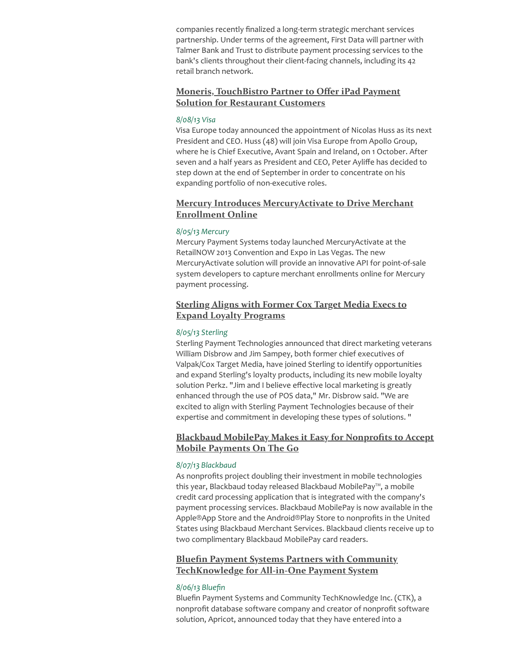companies recently finalized a long-term strategic merchant services partnership. Under terms of the agreement, First Data will partner with Talmer Bank and Trust to distribute payment processing services to the bank's clients throughout their client-facing channels, including its 42 retail branch network.

# Moneris, [TouchBistro](http://bankcreditnews.com/news/moneris-touchbistro-partner-to-offer-ipad-payment-solution-for-restaurant-customers/11942/?utm_source=NewsFilter+366+8%2F09%2F13&utm_campaign=NF+%23366+8%2F09%2F13&utm_medium=archive) Partner to Offer iPad Payment Solution for Restaurant Customers

#### 8/08/13 Visa

Visa Europe today announced the appointment of Nicolas Huss as its next President and CEO. Huss (48) will join Visa Europe from Apollo Group, where he is Chief Executive, Avant Spain and Ireland, on 1 October. After seven and a half years as President and CEO, Peter Ayliffe has decided to step down at the end of September in order to concentrate on his expanding portfolio of non-executive roles.

# Mercury Introduces [MercuryActivate](http://www.mercurypay.com/mercury-introduces-mercuryactivate-to-drive-merchant-enrollment-online/?utm_source=NewsFilter+366+8%2F09%2F13&utm_campaign=NF+%23366+8%2F09%2F13&utm_medium=archive) to Drive Merchant Enrollment Online

#### 8/05/13 Mercury

Mercury Payment Systems today launched MercuryActivate at the RetailNOW 2013 Convention and Expo in Las Vegas. The new MercuryActivate solution will provide an innovative API for point-of-sale system developers to capture merchant enrollments online for Mercury payment processing.

# Sterling Aligns with Former Cox Target Media Execs to Expand Loyalty [Programs](http://www.sterlingpayment.com/news/sterling-news/sterling-aligns-with-former-cox-target-media-execs-to-expand-loyalty-programs/?utm_source=NewsFilter+366+8%2F09%2F13&utm_campaign=NF+%23366+8%2F09%2F13&utm_medium=archive)

#### 8/05/13 Sterling

Sterling Payment Technologies announced that direct marketing veterans William Disbrow and Jim Sampey, both former chief executives of Valpak/Cox Target Media, have joined Sterling to identify opportunities and expand Sterling's loyalty products, including its new mobile loyalty solution Perkz. "Jim and I believe effective local marketing is greatly enhanced through the use of POS data," Mr. Disbrow said. "We are excited to align with Sterling Payment Technologies because of their expertise and commitment in developing these types of solutions. "

# Blackbaud MobilePay Makes it Easy for [Nonprofits](http://phx.corporate-ir.net/phoenix.zhtml?c=176673&p=irol-newsArticle&ID=1845625&highlight=&utm_source=NewsFilter+366+8%2F09%2F13&utm_campaign=NF+%23366+8%2F09%2F13&utm_medium=archive) to Accept Mobile Payments On The Go

#### 8/07/13 Blackbaud

As nonprofits project doubling their investment in mobile technologies this year, Blackbaud today released Blackbaud MobilePay™, a mobile credit card processing application that is integrated with the company's payment processing services. Blackbaud MobilePay is now available in the Apple®App Store and the Android®Play Store to nonprofits in the United States using Blackbaud Merchant Services. Blackbaud clients receive up to two complimentary Blackbaud MobilePay card readers.

# Bluefin Payment Systems Partners with Community [TechKnowledge](http://www.bluefin.com/2013/08/06/bluefin-payment-systems-partners-with-community-techknowledge-for-all-in-one-payment-system/?utm_source=NewsFilter+366+8%2F09%2F13&utm_campaign=NF+%23366+8%2F09%2F13&utm_medium=archive) for All-in-One Payment System

#### 8/06/13 Bluefin

Bluefin Payment Systems and Community TechKnowledge Inc. (CTK), a nonprofit database software company and creator of nonprofit software solution, Apricot, announced today that they have entered into a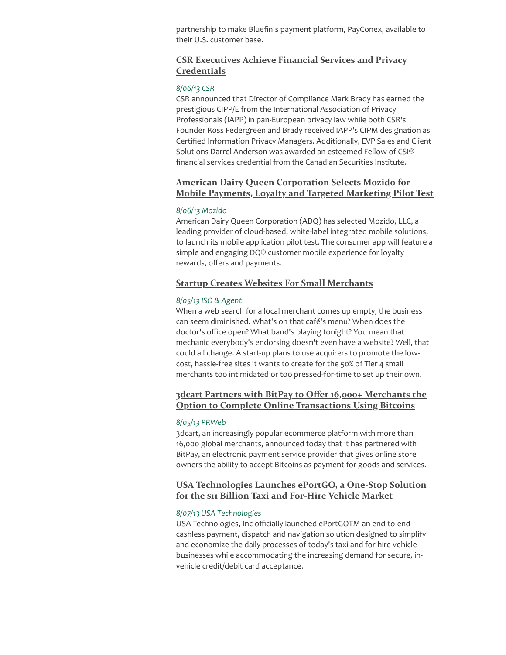partnership to make Bluefin's payment platform, PayConex, available to their U.S. customer base.

# CSR Executives Achieve Financial Services and Privacy **[Credentials](http://www.csrcorporate.com/news/2013/08/06/csr-executives-achieve-financial-services-and-privacy-credentials?utm_source=NewsFilter+366+8%2F09%2F13&utm_campaign=NF+%23366+8%2F09%2F13&utm_medium=archive)**

#### 8/06/13 CSR

CSR announced that Director of Compliance Mark Brady has earned the prestigious CIPP/E from the International Association of Privacy Professionals (IAPP) in pan-European privacy law while both CSR's Founder Ross Federgreen and Brady received IAPP's CIPM designation as Certified Information Privacy Managers. Additionally, EVP Sales and Client Solutions Darrel Anderson was awarded an esteemed Fellow of CSI® financial services credential from the Canadian Securities Institute.

# American Dairy Queen [Corporation](http://mozido.com/american-dairy-queen-corporation-selects-mozido-for-mobile-payments-loyalty-and-targeted-marketing-pilot-test?utm_source=NewsFilter+366+8%2F09%2F13&utm_campaign=NF+%23366+8%2F09%2F13&utm_medium=archive) Selects Mozido for Mobile Payments, Loyalty and Targeted Marketing Pilot Test

#### 8/06/13 Mozido

American Dairy Queen Corporation (ADQ) has selected Mozido, LLC, a leading provider of cloud-based, white-label integrated mobile solutions, to launch its mobile application pilot test. The consumer app will feature a simple and engaging DQ® customer mobile experience for loyalty rewards, offers and payments.

#### Startup Creates Websites For Small [Merchants](http://www.isoandagent.com/news/Startup-Creates-Websites-For-Small-Merchants-3014998-1.html?utm_source=NewsFilter+366+8%2F09%2F13&utm_campaign=NF+%23366+8%2F09%2F13&utm_medium=archive)

#### 8/05/13 ISO & Agent

When a web search for a local merchant comes up empty, the business can seem diminished. What's on that café's menu? When does the doctor's office open? What band's playing tonight? You mean that mechanic everybody's endorsing doesn't even have a website? Well, that could all change. A start-up plans to use acquirers to promote the lowcost, hassle-free sites it wants to create for the 50% of Tier 4 small merchants too intimidated or too pressed-for-time to set up their own.

# 3dcart Partners with BitPay to Offer 16,000+ Merchants the Option to Complete Online [Transactions](http://www.prweb.com/releases/2013/8/prweb10989036.htm?utm_source=NewsFilter+366+8%2F09%2F13&utm_campaign=NF+%23366+8%2F09%2F13&utm_medium=archive) Using Bitcoins

#### 8/05/13 PRWeb

3dcart, an increasingly popular ecommerce platform with more than 16,000 global merchants, announced today that it has partnered with BitPay, an electronic payment service provider that gives online store owners the ability to accept Bitcoins as payment for goods and services.

## USA [Technologies](http://investor.usatech.com/releasedetail.cfm?ReleaseID=783594&utm_source=NewsFilter+366+8%2F09%2F13&utm_campaign=NF+%23366+8%2F09%2F13&utm_medium=archive) Launches ePortGO, a One-Stop Solution for the \$11 Billion Taxi and For-Hire Vehicle Market

#### 8/07/13 USA Technologies

USA Technologies, Inc officially launched ePortGOTM an end-to-end cashless payment, dispatch and navigation solution designed to simplify and economize the daily processes of today's taxi and for-hire vehicle businesses while accommodating the increasing demand for secure, invehicle credit/debit card acceptance.